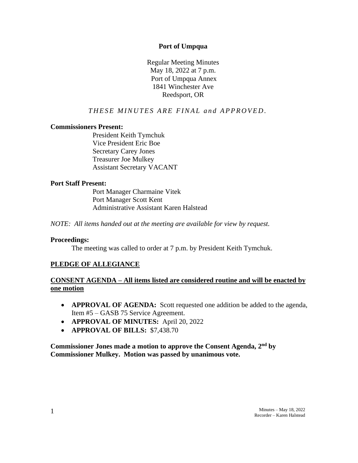#### **Port of Umpqua**

Regular Meeting Minutes May 18, 2022 at 7 p.m. Port of Umpqua Annex 1841 Winchester Ave Reedsport, OR

# **THESE MINUTES ARE FINAL and APPROVED.**

### **Commissioners Present:**

President Keith Tymchuk Vice President Eric Boe Secretary Carey Jones Treasurer Joe Mulkey Assistant Secretary VACANT

#### **Port Staff Present:**

Port Manager Charmaine Vitek Port Manager Scott Kent Administrative Assistant Karen Halstead

*NOTE: All items handed out at the meeting are available for view by request.*

#### **Proceedings:**

The meeting was called to order at 7 p.m. by President Keith Tymchuk.

# **PLEDGE OF ALLEGIANCE**

# **CONSENT AGENDA – All items listed are considered routine and will be enacted by one motion**

- **APPROVAL OF AGENDA:** Scott requested one addition be added to the agenda, Item #5 – GASB 75 Service Agreement.
- **APPROVAL OF MINUTES:** April 20, 2022
- **APPROVAL OF BILLS:** \$7,438.70

**Commissioner Jones made a motion to approve the Consent Agenda, 2nd by Commissioner Mulkey. Motion was passed by unanimous vote.**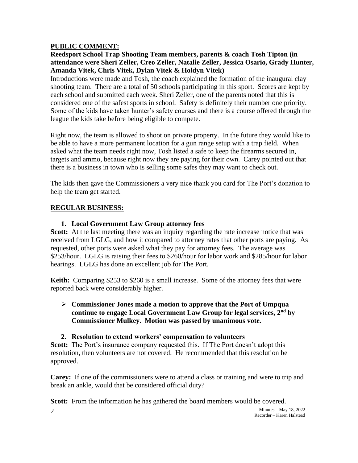# **PUBLIC COMMENT:**

# **Reedsport School Trap Shooting Team members, parents & coach Tosh Tipton (in attendance were Sheri Zeller, Creo Zeller, Natalie Zeller, Jessica Osario, Grady Hunter, Amanda Vitek, Chris Vitek, Dylan Vitek & Holdyn Vitek)**

Introductions were made and Tosh, the coach explained the formation of the inaugural clay shooting team. There are a total of 50 schools participating in this sport. Scores are kept by each school and submitted each week. Sheri Zeller, one of the parents noted that this is considered one of the safest sports in school. Safety is definitely their number one priority. Some of the kids have taken hunter's safety courses and there is a course offered through the league the kids take before being eligible to compete.

Right now, the team is allowed to shoot on private property. In the future they would like to be able to have a more permanent location for a gun range setup with a trap field. When asked what the team needs right now, Tosh listed a safe to keep the firearms secured in, targets and ammo, because right now they are paying for their own. Carey pointed out that there is a business in town who is selling some safes they may want to check out.

The kids then gave the Commissioners a very nice thank you card for The Port's donation to help the team get started.

# **REGULAR BUSINESS:**

# **1. Local Government Law Group attorney fees**

**Scott:** At the last meeting there was an inquiry regarding the rate increase notice that was received from LGLG, and how it compared to attorney rates that other ports are paying. As requested, other ports were asked what they pay for attorney fees. The average was \$253/hour. LGLG is raising their fees to \$260/hour for labor work and \$285/hour for labor hearings. LGLG has done an excellent job for The Port.

**Keith:** Comparing \$253 to \$260 is a small increase. Some of the attorney fees that were reported back were considerably higher.

#### ➢ **Commissioner Jones made a motion to approve that the Port of Umpqua continue to engage Local Government Law Group for legal services, 2nd by Commissioner Mulkey. Motion was passed by unanimous vote.**

#### **2. Resolution to extend workers' compensation to volunteers**

**Scott:** The Port's insurance company requested this. If The Port doesn't adopt this resolution, then volunteers are not covered. He recommended that this resolution be approved.

**Carey:** If one of the commissioners were to attend a class or training and were to trip and break an ankle, would that be considered official duty?

**Scott:** From the information he has gathered the board members would be covered.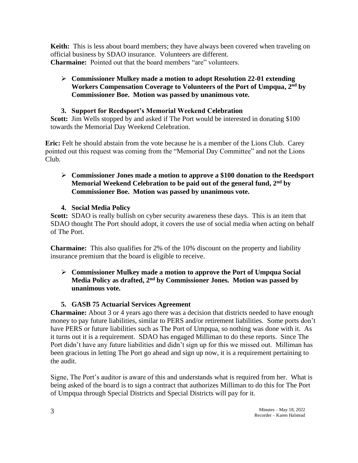**Keith:** This is less about board members; they have always been covered when traveling on official business by SDAO insurance. Volunteers are different. **Charmaine:** Pointed out that the board members "are" volunteers.

# ➢ **Commissioner Mulkey made a motion to adopt Resolution 22-01 extending Workers Compensation Coverage to Volunteers of the Port of Umpqua, 2nd by Commissioner Boe. Motion was passed by unanimous vote.**

# **3. Support for Reedsport's Memorial Weekend Celebration**

**Scott:** Jim Wells stopped by and asked if The Port would be interested in donating \$100 towards the Memorial Day Weekend Celebration.

**Eric:** Felt he should abstain from the vote because he is a member of the Lions Club. Carey pointed out this request was coming from the "Memorial Day Committee" and not the Lions Club.

# ➢ **Commissioner Jones made a motion to approve a \$100 donation to the Reedsport Memorial Weekend Celebration to be paid out of the general fund, 2nd by Commissioner Boe. Motion was passed by unanimous vote.**

**4. Social Media Policy**

**Scott:** SDAO is really bullish on cyber security awareness these days. This is an item that SDAO thought The Port should adopt, it covers the use of social media when acting on behalf of The Port.

**Charmaine:** This also qualifies for 2% of the 10% discount on the property and liability insurance premium that the board is eligible to receive.

# ➢ **Commissioner Mulkey made a motion to approve the Port of Umpqua Social Media Policy as drafted, 2nd by Commissioner Jones. Motion was passed by unanimous vote.**

# **5. GASB 75 Actuarial Services Agreement**

**Charmaine:** About 3 or 4 years ago there was a decision that districts needed to have enough money to pay future liabilities, similar to PERS and/or retirement liabilities. Some ports don't have PERS or future liabilities such as The Port of Umpqua, so nothing was done with it. As it turns out it is a requirement. SDAO has engaged Milliman to do these reports. Since The Port didn't have any future liabilities and didn't sign up for this we missed out. Milliman has been gracious in letting The Port go ahead and sign up now, it is a requirement pertaining to the audit.

Signe, The Port's auditor is aware of this and understands what is required from her. What is being asked of the board is to sign a contract that authorizes Milliman to do this for The Port of Umpqua through Special Districts and Special Districts will pay for it.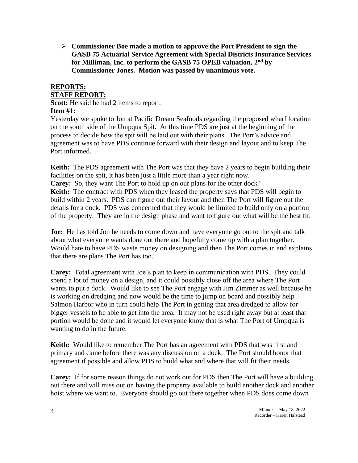➢ **Commissioner Boe made a motion to approve the Port President to sign the GASB 75 Actuarial Service Agreement with Special Districts Insurance Services for Milliman, Inc. to perform the GASB 75 OPEB valuation, 2nd by Commissioner Jones. Motion was passed by unanimous vote.**

# **REPORTS: STAFF REPORT:**

**Scott:** He said he had 2 items to report. **Item #1:**

Yesterday we spoke to Jon at Pacific Dream Seafoods regarding the proposed wharf location on the south side of the Umpqua Spit. At this time PDS are just at the beginning of the process to decide how the spit will be laid out with their plans. The Port's advice and agreement was to have PDS continue forward with their design and layout and to keep The Port informed.

**Keith:** The PDS agreement with The Port was that they have 2 years to begin building their facilities on the spit, it has been just a little more than a year right now.

**Carey:** So, they want The Port to hold up on our plans for the other dock? **Keith:** The contract with PDS when they leased the property says that PDS will begin to build within 2 years. PDS can figure out their layout and then The Port will figure out the details for a dock. PDS was concerned that they would be limited to build only on a portion of the property. They are in the design phase and want to figure out what will be the best fit.

**Joe:** He has told Jon he needs to come down and have everyone go out to the spit and talk about what everyone wants done out there and hopefully come up with a plan together. Would hate to have PDS waste money on designing and then The Port comes in and explains that there are plans The Port has too.

**Carey:** Total agreement with Joe's plan to keep in communication with PDS. They could spend a lot of money on a design, and it could possibly close off the area where The Port wants to put a dock. Would like to see The Port engage with Jim Zimmer as well because he is working on dredging and now would be the time to jump on board and possibly help Salmon Harbor who in turn could help The Port in getting that area dredged to allow for bigger vessels to be able to get into the area. It may not be used right away but at least that portion would be done and it would let everyone know that is what The Port of Umpqua is wanting to do in the future.

**Keith:** Would like to remember The Port has an agreement with PDS that was first and primary and came before there was any discussion on a dock. The Port should honor that agreement if possible and allow PDS to build what and where that will fit their needs.

**Carey:** If for some reason things do not work out for PDS then The Port will have a building out there and will miss out on having the property available to build another dock and another hoist where we want to. Everyone should go out there together when PDS does come down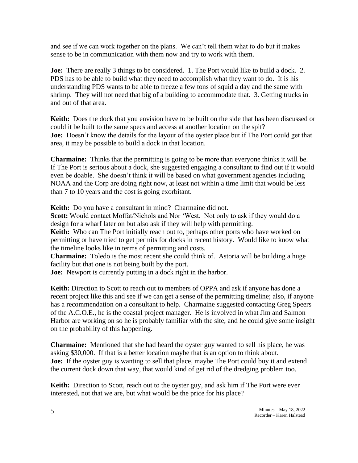and see if we can work together on the plans. We can't tell them what to do but it makes sense to be in communication with them now and try to work with them.

**Joe:** There are really 3 things to be considered. 1. The Port would like to build a dock. 2. PDS has to be able to build what they need to accomplish what they want to do. It is his understanding PDS wants to be able to freeze a few tons of squid a day and the same with shrimp. They will not need that big of a building to accommodate that. 3. Getting trucks in and out of that area.

**Keith:** Does the dock that you envision have to be built on the side that has been discussed or could it be built to the same specs and access at another location on the spit? **Joe:** Doesn't know the details for the layout of the oyster place but if The Port could get that area, it may be possible to build a dock in that location.

**Charmaine:** Thinks that the permitting is going to be more than everyone thinks it will be. If The Port is serious about a dock, she suggested engaging a consultant to find out if it would even be doable. She doesn't think it will be based on what government agencies including NOAA and the Corp are doing right now, at least not within a time limit that would be less than 7 to 10 years and the cost is going exorbitant.

**Keith:** Do you have a consultant in mind? Charmaine did not.

**Scott:** Would contact Moffat/Nichols and Nor 'West. Not only to ask if they would do a design for a wharf later on but also ask if they will help with permitting.

**Keith:** Who can The Port initially reach out to, perhaps other ports who have worked on permitting or have tried to get permits for docks in recent history. Would like to know what the timeline looks like in terms of permitting and costs.

**Charmaine:** Toledo is the most recent she could think of. Astoria will be building a huge facility but that one is not being built by the port.

**Joe:** Newport is currently putting in a dock right in the harbor.

**Keith:** Direction to Scott to reach out to members of OPPA and ask if anyone has done a recent project like this and see if we can get a sense of the permitting timeline; also, if anyone has a recommendation on a consultant to help. Charmaine suggested contacting Greg Speers of the A.C.O.E., he is the coastal project manager. He is involved in what Jim and Salmon Harbor are working on so he is probably familiar with the site, and he could give some insight on the probability of this happening.

**Charmaine:** Mentioned that she had heard the oyster guy wanted to sell his place, he was asking \$30,000. If that is a better location maybe that is an option to think about. **Joe:** If the oyster guy is wanting to sell that place, maybe The Port could buy it and extend the current dock down that way, that would kind of get rid of the dredging problem too.

**Keith:** Direction to Scott, reach out to the oyster guy, and ask him if The Port were ever interested, not that we are, but what would be the price for his place?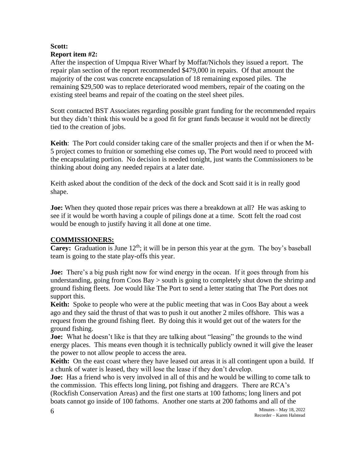# **Scott: Report item #2:**

After the inspection of Umpqua River Wharf by Moffat/Nichols they issued a report. The repair plan section of the report recommended \$479,000 in repairs. Of that amount the majority of the cost was concrete encapsulation of 18 remaining exposed piles. The remaining \$29,500 was to replace deteriorated wood members, repair of the coating on the existing steel beams and repair of the coating on the steel sheet piles.

Scott contacted BST Associates regarding possible grant funding for the recommended repairs but they didn't think this would be a good fit for grant funds because it would not be directly tied to the creation of jobs.

**Keith**: The Port could consider taking care of the smaller projects and then if or when the M-5 project comes to fruition or something else comes up, The Port would need to proceed with the encapsulating portion. No decision is needed tonight, just wants the Commissioners to be thinking about doing any needed repairs at a later date.

Keith asked about the condition of the deck of the dock and Scott said it is in really good shape.

**Joe:** When they quoted those repair prices was there a breakdown at all? He was asking to see if it would be worth having a couple of pilings done at a time. Scott felt the road cost would be enough to justify having it all done at one time.

# **COMMISSIONERS:**

**Carey:** Graduation is June 12<sup>th</sup>; it will be in person this year at the gym. The boy's baseball team is going to the state play-offs this year.

**Joe:** There's a big push right now for wind energy in the ocean. If it goes through from his understanding, going from Coos Bay > south is going to completely shut down the shrimp and ground fishing fleets. Joe would like The Port to send a letter stating that The Port does not support this.

**Keith:** Spoke to people who were at the public meeting that was in Coos Bay about a week ago and they said the thrust of that was to push it out another 2 miles offshore. This was a request from the ground fishing fleet. By doing this it would get out of the waters for the ground fishing.

**Joe:** What he doesn't like is that they are talking about "leasing" the grounds to the wind energy places. This means even though it is technically publicly owned it will give the leaser the power to not allow people to access the area.

**Keith:** On the east coast where they have leased out areas it is all contingent upon a build. If a chunk of water is leased, they will lose the lease if they don't develop.

**Joe:** Has a friend who is very involved in all of this and he would be willing to come talk to the commission. This effects long lining, pot fishing and draggers. There are RCA's (Rockfish Conservation Areas) and the first one starts at 100 fathoms; long liners and pot boats cannot go inside of 100 fathoms. Another one starts at 200 fathoms and all of the